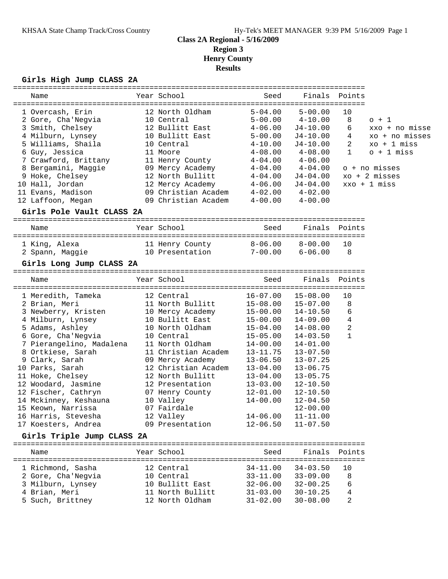# **Class 2A Regional - 5/16/2009**

**Region 3**

**Henry County**

**Results**

### **Girls High Jump CLASS 2A**

|                            | ================    | =================================== |               |                |                         |
|----------------------------|---------------------|-------------------------------------|---------------|----------------|-------------------------|
| Name                       | Year School         | Seed                                | Finals        | Points         |                         |
|                            |                     |                                     |               |                |                         |
| 1 Overcash, Erin           | 12 North Oldham     | $5 - 04.00$                         | $5 - 00.00$   | 10             |                         |
| 2 Gore, Cha'Negvia         | 10 Central          | $5 - 00.00$                         | $4 - 10.00$   | 8              | $0 + 1$                 |
| 3 Smith, Chelsey           | 12 Bullitt East     | $4 - 06.00$                         | J4-10.00      | 6              | xxo + no misse          |
| 4 Milburn, Lynsey          | 10 Bullitt East     | $5 - 00.00$                         | J4-10.00      | 4              | xo + no misses          |
| 5 Williams, Shaila         | 10 Central          | $4 - 10.00$                         | $J4-10.00$    | $\overline{2}$ | $xo + 1 \text{ miss}$   |
| 6 Guy, Jessica             | 11 Moore            | $4 - 08.00$                         | $4 - 08.00$   | $\mathbf{1}$   | $o + 1$ miss            |
| 7 Crawford, Brittany       | 11 Henry County     | $4 - 04.00$                         | $4 - 06.00$   |                |                         |
| 8 Bergamini, Maggie        | 09 Mercy Academy    | $4 - 04.00$                         | $4 - 04.00$   |                | o + no misses           |
| 9 Hoke, Chelsey            | 12 North Bullitt    | $4 - 04.00$                         | J4-04.00      |                | $xo + 2 \text{ misses}$ |
| 10 Hall, Jordan            | 12 Mercy Academy    | $4 - 06.00$                         | $J4 - 04.00$  |                | $xxo + 1$ miss          |
| 11 Evans, Madison          | 09 Christian Academ | $4 - 02.00$                         | $4 - 02.00$   |                |                         |
| 12 Laffoon, Megan          | 09 Christian Academ | $4 - 00.00$                         | $4 - 00.00$   |                |                         |
| Girls Pole Vault CLASS 2A  |                     |                                     |               |                |                         |
| Name                       | Year School         | Seed                                | Finals        | Points         |                         |
| 1 King, Alexa              | 11 Henry County     | $8 - 06.00$                         | $8 - 00.00$   | 10             |                         |
| 2 Spann, Maggie            | 10 Presentation     | $7 - 00.00$                         | $6 - 06.00$   | 8              |                         |
|                            |                     |                                     |               |                |                         |
| Girls Long Jump CLASS 2A   |                     |                                     |               |                |                         |
| Name                       | Year School         | Seed                                | Finals        | Points         |                         |
| 1 Meredith, Tameka         | 12 Central          | $16 - 07.00$                        | $15 - 08.00$  | 10             |                         |
| 2 Brian, Meri              | 11 North Bullitt    | $15 - 08.00$                        | $15 - 07.00$  | 8              |                         |
| 3 Newberry, Kristen        | 10 Mercy Academy    | $15 - 00.00$                        | 14-10.50      | 6              |                         |
| 4 Milburn, Lynsey          | 10 Bullitt East     | $15 - 00.00$                        | $14 - 09.00$  | 4              |                         |
| 5 Adams, Ashley            | 10 North Oldham     | $15 - 04.00$                        | $14 - 08.00$  | 2              |                         |
| 6 Gore, Cha'Negvia         | 10 Central          | $15 - 05.00$                        | $14 - 03.50$  | $\mathbf{1}$   |                         |
| 7 Pierangelino, Madalena   | 11 North Oldham     | $14 - 00.00$                        | $14 - 01.00$  |                |                         |
| 8 Ortkiese, Sarah          | 11 Christian Academ | $13 - 11.75$                        | $13 - 07.50$  |                |                         |
| 9 Clark, Sarah             | 09 Mercy Academy    | $13 - 06.50$                        | $13 - 07.25$  |                |                         |
| 10 Parks, Sarah            | 12 Christian Academ | $13 - 04.00$                        | $13 - 06.75$  |                |                         |
| 11 Hoke, Chelsey           | 12 North Bullitt    | $13 - 04.00$                        | $13 - 05.75$  |                |                         |
| 12 Woodard, Jasmine        | 12 Presentation     | $13 - 03.00$                        | $12 - 10.50$  |                |                         |
| 12 Fischer, Cathryn        | 07 Henry County     | 12-01.00                            | $12 - 10.50$  |                |                         |
| 14 Mckinney, Keshauna      | 10 Valley           | $14 - 00.00$                        | $12 - 04.50$  |                |                         |
| 15 Keown, Narrissa         | 07 Fairdale         |                                     | $12 - 00.00$  |                |                         |
| 16 Harris, Stevesha        | 12 Valley           | $14 - 06.00$                        | $11 - 11.00$  |                |                         |
| 17 Koesters, Andrea        | 09 Presentation     | $12 - 06.50$                        | $11 - 07.50$  |                |                         |
|                            |                     |                                     |               |                |                         |
| Girls Triple Jump CLASS 2A |                     |                                     |               |                |                         |
| Name                       | Year School         | Seed<br>----------                  | Finals Points | ======         |                         |
| 1 Richmond, Sasha          | 12 Central          | $34 - 11.00$                        | $34 - 03.50$  | 10             |                         |
| 2 Gore, Cha'Negvia         | 10 Central          | $33 - 11.00$                        | $33 - 09.00$  | 8              |                         |
| 3 Milburn, Lynsey          | 10 Bullitt East     | $32 - 06.00$                        | $32 - 00.25$  | 6              |                         |
| 4 Brian, Meri              | 11 North Bullitt    | $31 - 03.00$                        | $30 - 10.25$  | 4              |                         |
| 5 Such, Brittney           | 12 North Oldham     | $31 - 02.00$                        | $30 - 08.00$  | 2              |                         |
|                            |                     |                                     |               |                |                         |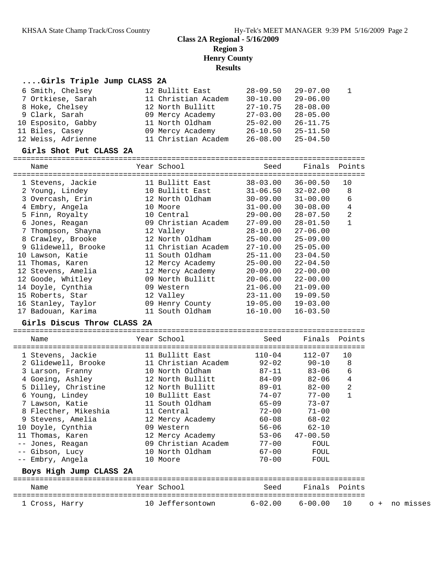## **Class 2A Regional - 5/16/2009 Region 3 Henry County Results**

## **....Girls Triple Jump CLASS 2A**

| 6 Smith, Chelsey<br>7 Ortkiese, Sarah<br>8 Hoke, Chelsey<br>9 Clark, Sarah<br>10 Esposito, Gabby<br>11 Biles, Casey<br>12 Weiss, Adrienne | 12 Bullitt East<br>11 Christian Academ<br>12 North Bullitt<br>09 Mercy Academy<br>11 North Oldham<br>09 Mercy Academy<br>11 Christian Academ | $28 - 09.50$<br>$30 - 10.00$<br>$27 - 10.75$<br>$27 - 03.00$<br>$25 - 02.00$<br>$26 - 10.50$<br>$26 - 08.00$ | $29 - 07.00$<br>$29 - 06.00$<br>$28 - 08.00$<br>$28 - 05.00$<br>$26 - 11.75$<br>$25 - 11.50$<br>$25 - 04.50$ | 1            |  |
|-------------------------------------------------------------------------------------------------------------------------------------------|----------------------------------------------------------------------------------------------------------------------------------------------|--------------------------------------------------------------------------------------------------------------|--------------------------------------------------------------------------------------------------------------|--------------|--|
| Girls Shot Put CLASS 2A                                                                                                                   |                                                                                                                                              |                                                                                                              |                                                                                                              |              |  |
| Name                                                                                                                                      | Year School                                                                                                                                  | Seed                                                                                                         | Finals                                                                                                       | Points       |  |
| 1 Stevens, Jackie                                                                                                                         | 11 Bullitt East                                                                                                                              | $38 - 03.00$                                                                                                 | $36 - 00.50$                                                                                                 | 10           |  |
| 2 Young, Lindey                                                                                                                           | 10 Bullitt East                                                                                                                              | $31 - 06.50$                                                                                                 | $32 - 02.00$                                                                                                 | 8            |  |
| 3 Overcash, Erin                                                                                                                          | 12 North Oldham                                                                                                                              | $30 - 09.00$                                                                                                 | $31 - 00.00$                                                                                                 | 6            |  |
| 4 Embry, Angela                                                                                                                           | 10 Moore                                                                                                                                     | $31 - 00.00$                                                                                                 | $30 - 08.00$                                                                                                 | 4            |  |
| 5 Finn, Royalty                                                                                                                           | 10 Central                                                                                                                                   | $29 - 00.00$                                                                                                 | $28 - 07.50$                                                                                                 | 2            |  |
| 6 Jones, Reagan                                                                                                                           | 09 Christian Academ                                                                                                                          | $27 - 09.00$                                                                                                 | $28 - 01.50$                                                                                                 | $\mathbf{1}$ |  |
| 7 Thompson, Shayna                                                                                                                        | 12 Valley                                                                                                                                    | $28 - 10.00$                                                                                                 | $27 - 06.00$                                                                                                 |              |  |
| 8 Crawley, Brooke                                                                                                                         | 12 North Oldham                                                                                                                              | $25 - 00.00$                                                                                                 | $25 - 09.00$                                                                                                 |              |  |
| 9 Glidewell, Brooke                                                                                                                       | 11 Christian Academ                                                                                                                          | $27 - 10.00$                                                                                                 | $25 - 05.00$                                                                                                 |              |  |
| 10 Lawson, Katie                                                                                                                          | 11 South Oldham                                                                                                                              | $25 - 11.00$                                                                                                 | $23 - 04.50$                                                                                                 |              |  |
| 11 Thomas, Karen                                                                                                                          | 12 Mercy Academy                                                                                                                             | $25 - 00.00$                                                                                                 | $22 - 04.50$                                                                                                 |              |  |
| 12 Stevens, Amelia                                                                                                                        | 12 Mercy Academy                                                                                                                             | $20 - 09.00$                                                                                                 | $22 - 00.00$                                                                                                 |              |  |
| 12 Goode, Whitley                                                                                                                         | 09 North Bullitt                                                                                                                             | $20 - 06.00$                                                                                                 | $22 - 00.00$                                                                                                 |              |  |
| 14 Doyle, Cynthia                                                                                                                         | 09 Western                                                                                                                                   | $21 - 06.00$                                                                                                 | $21 - 09.00$                                                                                                 |              |  |
| 15 Roberts, Star                                                                                                                          | 12 Valley                                                                                                                                    | $23 - 11.00$                                                                                                 | $19 - 09.50$                                                                                                 |              |  |
| 16 Stanley, Taylor                                                                                                                        | 09 Henry County                                                                                                                              | $19 - 05.00$                                                                                                 | $19 - 03.00$                                                                                                 |              |  |
| 17 Badouan, Karima                                                                                                                        | 11 South Oldham                                                                                                                              | $16 - 10.00$                                                                                                 | $16 - 03.50$                                                                                                 |              |  |
| Girls Discus Throw CLASS 2A                                                                                                               |                                                                                                                                              |                                                                                                              |                                                                                                              |              |  |
|                                                                                                                                           | Year School                                                                                                                                  | Seed                                                                                                         | Finals                                                                                                       | Points       |  |
| Name                                                                                                                                      |                                                                                                                                              |                                                                                                              |                                                                                                              |              |  |
| 1 Stevens, Jackie                                                                                                                         | 11 Bullitt East                                                                                                                              | $110 - 04$                                                                                                   | $112 - 07$                                                                                                   | 10           |  |
| 2 Glidewell, Brooke                                                                                                                       | 11 Christian Academ                                                                                                                          | $92 - 02$                                                                                                    | $90 - 10$                                                                                                    | 8            |  |
| 3 Larson, Franny                                                                                                                          | 10 North Oldham                                                                                                                              | $87 - 11$                                                                                                    | $83 - 06$                                                                                                    | 6            |  |
| 4 Goeing, Ashley                                                                                                                          | 12 North Bullitt                                                                                                                             | $84 - 09$                                                                                                    | $82 - 06$                                                                                                    | 4            |  |
| 5 Dilley, Christine                                                                                                                       | 12 North Bullitt                                                                                                                             | $89 - 01$                                                                                                    | $82 - 00$                                                                                                    | 2            |  |
| 6 Young, Lindey                                                                                                                           | 10 Bullitt East                                                                                                                              | $74 - 07$                                                                                                    | $77 - 00$                                                                                                    | $\mathbf 1$  |  |
| 7 Lawson, Katie                                                                                                                           | 11 South Oldham                                                                                                                              | 65-09                                                                                                        | $73 - 07$                                                                                                    |              |  |
| 8 Flecther, Mikeshia                                                                                                                      | 11 Central                                                                                                                                   | $72 - 00$                                                                                                    | $71 - 00$                                                                                                    |              |  |
| 9 Stevens, Amelia                                                                                                                         | 12 Mercy Academy                                                                                                                             | $60 - 08$                                                                                                    | $68 - 02$                                                                                                    |              |  |
| 10 Doyle, Cynthia                                                                                                                         | 09 Western                                                                                                                                   | $56 - 06$                                                                                                    | $62 - 10$                                                                                                    |              |  |
| 11 Thomas, Karen                                                                                                                          | 12 Mercy Academy                                                                                                                             | $53 - 06$                                                                                                    | $47 - 00.50$                                                                                                 |              |  |
| -- Jones, Reagan                                                                                                                          | 09 Christian Academ                                                                                                                          | $77 - 00$                                                                                                    | FOUL                                                                                                         |              |  |
| -- Gibson, Lucy                                                                                                                           | 10 North Oldham                                                                                                                              | $67 - 00$                                                                                                    | FOUL                                                                                                         |              |  |
| -- Embry, Angela                                                                                                                          | 10 Moore                                                                                                                                     | $70 - 00$                                                                                                    | FOUL                                                                                                         |              |  |
| Boys High Jump CLASS 2A                                                                                                                   |                                                                                                                                              |                                                                                                              |                                                                                                              |              |  |
| Name                                                                                                                                      | Year School                                                                                                                                  | Seed<br>===============================                                                                      | Finals                                                                                                       | Points       |  |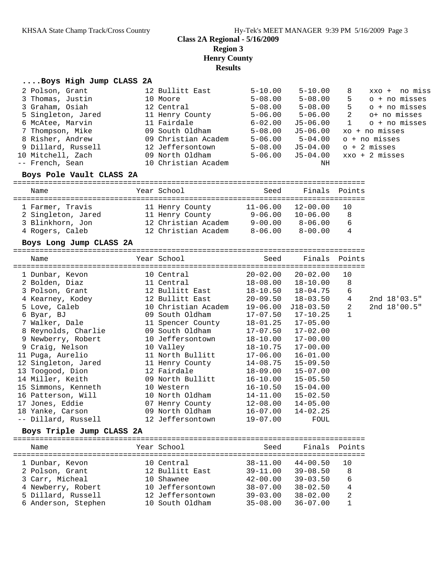#### **Class 2A Regional - 5/16/2009**

**Region 3**

**Henry County**

**Results**

#### **....Boys High Jump CLASS 2A**

| 2 Polson, Grant          | 12 Bullitt East                     | $5 - 10.00$ | $5 - 10.00$   | 8            | xxo + no miss            |
|--------------------------|-------------------------------------|-------------|---------------|--------------|--------------------------|
| 3 Thomas, Justin         | 10 Moore                            | $5 - 08.00$ | $5 - 08.00$   | 5.           | o + no misses            |
| 3 Graham, Osiah          | 12 Central                          | $5 - 08.00$ | $5 - 08.00$   | 5            | $o + no$ misses          |
| 5 Singleton, Jared       | 11 Henry County                     | $5 - 06.00$ | $5 - 06.00$   | 2            | o+ no misses             |
| 6 McAtee, Marvin         | 11 Fairdale                         | $6 - 02.00$ | J5-06.00      | $\mathbf{1}$ | $o + no$ misses          |
| 7 Thompson, Mike         | 09 South Oldham                     | $5 - 08.00$ | J5-06.00      |              | $xo + no$ misses         |
| 8 Risher, Andrew         | 09 Christian Academ                 | $5 - 06.00$ | $5 - 04.00$   |              | o + no misses            |
| 9 Dillard, Russell       | 12 Jeffersontown                    | $5 - 08.00$ | J5-04.00      |              | $o + 2$ misses           |
| 10 Mitchell, Zach        | 09 North Oldham                     | 5-06.00     | J5-04.00      |              | $xxo + 2 \text{ misses}$ |
| -- French, Sean          | 10 Christian Academ                 |             | ΝH            |              |                          |
| Boys Pole Vault CLASS 2A | =================================== |             |               |              |                          |
| Name                     | Year School                         | Seed        | Finals Points |              |                          |
| 1 Farmer, Travis         | 11 Henry County                     | 11-06.00    | $12 - 00.00$  | 10           |                          |
| 2 Singleton, Jared       | 11 Henry County                     | $9 - 06.00$ | $10 - 06.00$  | 8            |                          |
| 3 Blinkhorn, Jon         | 12 Christian Academ                 | 9-00.00     | 8-06.00       | 6            |                          |
| 4 Rogers, Caleb          | 12 Christian Academ                 | 8-06.00     | $8 - 00.00$   | 4            |                          |
|                          |                                     |             |               |              |                          |

#### **Boys Long Jump CLASS 2A**

================================================================================ Name Year School Seed Finals Points

| 1 Dunbar, Kevon     | 10 Central          |              | $20 - 02.00$ $20 - 02.00$ | 10           |                  |
|---------------------|---------------------|--------------|---------------------------|--------------|------------------|
| 2 Bolden, Diaz      | 11 Central          |              | $18-08.00$ $18-10.00$     | 8            |                  |
| 3 Polson, Grant     | 12 Bullitt East     |              | 18-10.50 18-04.75         | 6            |                  |
| 4 Kearney, Kodey    | 12 Bullitt East     |              | 20-09.50 18-03.50         | 4            | $2nd \ 18'03.5"$ |
| 5 Love, Caleb       | 10 Christian Academ | 19-06.00     | J18-03.50                 | 2            | 2nd 18'00.5"     |
| 6 Byar, BJ          | 09 South Oldham     |              | $17-07.50$ $17-10.25$     | $\mathbf{1}$ |                  |
| 7 Walker, Dale      | 11 Spencer County   |              | $18 - 01.25$ $17 - 05.00$ |              |                  |
| 8 Reynolds, Charlie | 09 South Oldham     |              | $17-07.50$ $17-02.00$     |              |                  |
| 9 Newberry, Robert  | 10 Jeffersontown    |              | $18 - 10.00$ $17 - 00.00$ |              |                  |
| 9 Craig, Nelson     | 10 Valley           |              | $18 - 10.75$ $17 - 00.00$ |              |                  |
| 11 Puga, Aurelio    | 11 North Bullitt    |              | $17-06.00$ $16-01.00$     |              |                  |
| 12 Singleton, Jared | 11 Henry County     |              | $14-08.75$ $15-09.50$     |              |                  |
| 13 Toogood, Dion    | 12 Fairdale         |              | $18-09.00$ $15-07.00$     |              |                  |
| 14 Miller, Keith    | 09 North Bullitt    |              | $16 - 10.00$ $15 - 05.50$ |              |                  |
| 15 Simmons, Kenneth | 10 Western          | 16-10.50     | 15-04.00                  |              |                  |
| 16 Patterson, Will  | 10 North Oldham     | $14 - 11.00$ | $15 - 02.50$              |              |                  |
| 17 Jones, Eddie     | 07 Henry County     |              | $12 - 08.00$ $14 - 05.00$ |              |                  |
| 18 Yanke, Carson    | 09 North Oldham     |              | $16-07.00$ $14-02.25$     |              |                  |
| -- Dillard, Russell | 12 Jeffersontown    | $19 - 07.00$ | FOUL                      |              |                  |
|                     |                     |              |                           |              |                  |

#### **Boys Triple Jump CLASS 2A**

| Name                | Year School      | Seed         | Finals Points |                |
|---------------------|------------------|--------------|---------------|----------------|
| 1 Dunbar, Kevon     | 10 Central       | $38 - 11.00$ | $44 - 00.50$  | 1 O            |
| 2 Polson, Grant     | 12 Bullitt East  | $39 - 11.00$ | $39 - 08.50$  | 8              |
| 3 Carr, Micheal     | 10 Shawnee       | $42 - 00.00$ | $39 - 03.50$  | 6              |
| 4 Newberry, Robert  | 10 Jeffersontown | $38 - 07.00$ | $38 - 02.50$  | $\overline{4}$ |
| 5 Dillard, Russell  | 12 Jeffersontown | $39 - 03.00$ | $38 - 02.00$  | 2              |
| 6 Anderson, Stephen | 10 South Oldham  | $35 - 08.00$ | $36 - 07.00$  |                |
|                     |                  |              |               |                |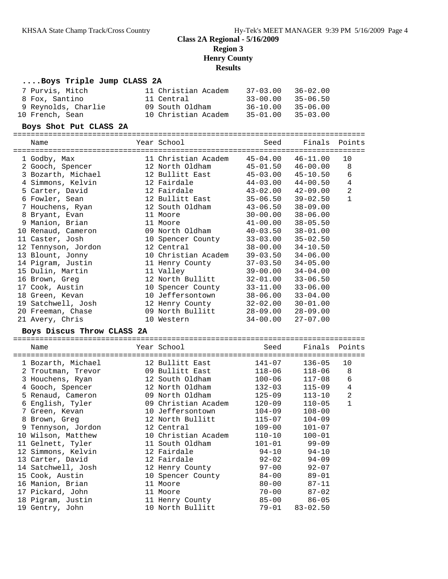### **Class 2A Regional - 5/16/2009 Region 3 Henry County Results**

### **....Boys Triple Jump CLASS 2A**

| 7 Purvis, Mitch     | 11 Christian Academ | $37 - 03.00$ | $36 - 02.00$ |
|---------------------|---------------------|--------------|--------------|
| 8 Fox, Santino      | 11 Central          | $33 - 00.00$ | $35 - 06.50$ |
| 9 Reynolds, Charlie | 09 South Oldham     | $36 - 10.00$ | $35 - 06.00$ |
| 10 French, Sean     | 10 Christian Academ | $35 - 01.00$ | $35 - 03.00$ |

#### **Boys Shot Put CLASS 2A**

================================================================================

Name The Year School Seed Finals Points ================================================================================

| 1 Godby, Max        | 11 Christian Academ     | 45-04.00     | $46 - 11.00$ | 10             |
|---------------------|-------------------------|--------------|--------------|----------------|
| 2 Gooch, Spencer    | 12 North Oldham         | $45 - 01.50$ | $46 - 00.00$ | 8              |
| 3 Bozarth, Michael  | 12 Bullitt East         | 45-03.00     | 45-10.50     | 6              |
| 4 Simmons, Kelvin   | 12 Fairdale <b>Marc</b> | 44-03.00     | 44-00.50     | $\overline{4}$ |
| 5 Carter, David     | 12 Fairdale <b>Marc</b> | 43-02.00     | 42-09.00     | 2              |
| 6 Fowler, Sean      | 12 Bullitt East         | 35-06.50     | $39 - 02.50$ | $\mathbf{1}$   |
| 7 Houchens, Ryan    | 12 South Oldham         | 43-06.50     | $38 - 09.00$ |                |
| 8 Bryant, Evan      | 11 Moore                | 30-00.00     | $38 - 06.00$ |                |
| 9 Manion, Brian     | 11 Moore                | 41-00.00     | $38 - 05.50$ |                |
| 10 Renaud, Cameron  | 09 North Oldham         | 40-03.50     | $38 - 01.00$ |                |
| 11 Caster, Josh     | 10 Spencer County       | $33 - 03.00$ | $35 - 02.50$ |                |
| 12 Tennyson, Jordon | 12 Central              | 38-00.00     | $34 - 10.50$ |                |
| 13 Blount, Jonny    | 10 Christian Academ     | $39 - 03.50$ | $34 - 06.00$ |                |
| 14 Pigram, Justin   | 11 Henry County         | 37-03.50     | $34 - 05.00$ |                |
| 15 Dulin, Martin    | 11 Valley               | 39-00.00     | $34 - 04.00$ |                |
| 16 Brown, Greg      | 12 North Bullitt        | 32-01.00     | $33 - 06.50$ |                |
| 17 Cook, Austin     | 10 Spencer County       | 33-11.00     | $33 - 06.00$ |                |
| 18 Green, Kevan     | 10 Jeffersontown        | 38-06.00     | $33 - 04.00$ |                |
| 19 Satchwell, Josh  | 12 Henry County         | 32-02.00     | $30 - 01.00$ |                |
| 20 Freeman, Chase   | 09 North Bullitt        | 28-09.00     | $28 - 09.00$ |                |
| 21 Avery, Chris     | 10 Western              | $34 - 00.00$ | $27 - 07.00$ |                |

#### **Boys Discus Throw CLASS 2A**

| ==============                            |                                                                                                               | ===================== |                        |                |
|-------------------------------------------|---------------------------------------------------------------------------------------------------------------|-----------------------|------------------------|----------------|
| Name                                      | Year School and the School and the School                                                                     | Seed                  | Finals Points          |                |
| 1 Bozarth, Michael                        | 12 Bullitt East                                                                                               | 141-07                | 136-05                 | 10             |
| 2 Troutman, Trevor 69 Bullitt East 118-06 |                                                                                                               |                       | 118-06                 | 8              |
| 3 Houchens, Ryan                          |                                                                                                               |                       | $117 - 08$             | 6              |
| 4 Gooch, Spencer                          | 12 North Oldham                                                                                               | $132 - 03$            | $115 - 09$             | $\overline{4}$ |
| 5 Renaud, Cameron                         | 09 North Oldham                                                                                               | 125-09                | $113 - 10$             | $\overline{a}$ |
| 6 English, Tyler                          | 09 Christian Academ                                                                                           | $120 - 09$            | $110 - 05$             | $\mathbf{1}$   |
| 7 Green, Kevan                            | 10 Jeffersontown                                                                                              | $104 - 09$            | $108 - 00$             |                |
| 8 Brown, Greq                             | 12 North Bullitt                                                                                              | $115 - 07$            | $104 - 09$             |                |
| 9 Tennyson, Jordon                        | 12 Central and the state of the state of the state of the state of the state of the state of the state of the | $109 - 00$            | $101 - 07$             |                |
| 10 Wilson, Matthew                        | 10 Christian Academ                                                                                           | $110 - 10$            | $100 - 01$             |                |
| 11 Gelnett, Tyler                         | 11 South Oldham                                                                                               |                       | $101 - 01$ 99-09       |                |
| 12 Simmons, Kelvin                        | 12 Fairdale                                                                                                   | $94-10$ 94-10         |                        |                |
| 13 Carter, David                          | 12 Fairdale <b>Marc</b>                                                                                       |                       | $92 - 02$ 94-09        |                |
| 14 Satchwell, Josh                        | 12 Henry County                                                                                               |                       | $97 - 00$ 92-07        |                |
| 15 Cook, Austin                           | 10 Spencer County                                                                                             | $84 - 00$             | 89-01                  |                |
| 16 Manion, Brian                          | 11 Moore                                                                                                      | $80 - 00$             | 87-11                  |                |
| 17 Pickard, John                          | 11 Moore                                                                                                      |                       | $70 - 00$ 87-02        |                |
| 18 Pigram, Justin                         | 11 Henry County                                                                                               |                       | 85-00 86-05            |                |
| 19 Gentry, John                           | 10 North Bullitt                                                                                              |                       | $79 - 01$ $83 - 02.50$ |                |
|                                           |                                                                                                               |                       |                        |                |